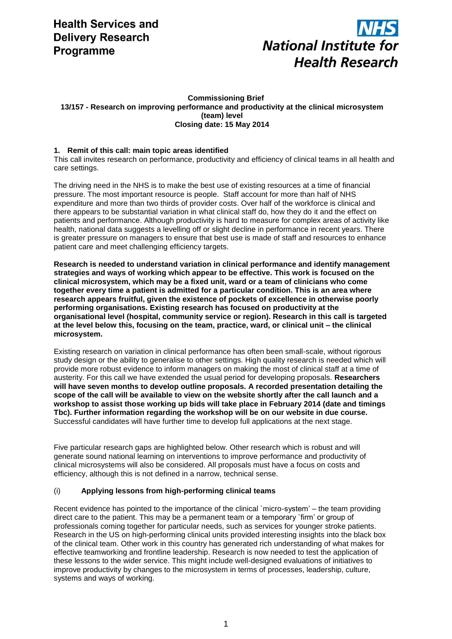

#### **Commissioning Brief 13/157 - Research on improving performance and productivity at the clinical microsystem (team) level Closing date: 15 May 2014**

# **1. Remit of this call: main topic areas identified**

This call invites research on performance, productivity and efficiency of clinical teams in all health and care settings.

The driving need in the NHS is to make the best use of existing resources at a time of financial pressure. The most important resource is people. Staff account for more than half of NHS expenditure and more than two thirds of provider costs. Over half of the workforce is clinical and there appears to be substantial variation in what clinical staff do, how they do it and the effect on patients and performance. Although productivity is hard to measure for complex areas of activity like health, national data suggests a levelling off or slight decline in performance in recent years. There is greater pressure on managers to ensure that best use is made of staff and resources to enhance patient care and meet challenging efficiency targets.

**Research is needed to understand variation in clinical performance and identify management strategies and ways of working which appear to be effective. This work is focused on the clinical microsystem, which may be a fixed unit, ward or a team of clinicians who come together every time a patient is admitted for a particular condition. This is an area where research appears fruitful, given the existence of pockets of excellence in otherwise poorly performing organisations. Existing research has focused on productivity at the organisational level (hospital, community service or region). Research in this call is targeted at the level below this, focusing on the team, practice, ward, or clinical unit – the clinical microsystem.** 

Existing research on variation in clinical performance has often been small-scale, without rigorous study design or the ability to generalise to other settings. High quality research is needed which will provide more robust evidence to inform managers on making the most of clinical staff at a time of austerity. For this call we have extended the usual period for developing proposals. **Researchers will have seven months to develop outline proposals. A recorded presentation detailing the scope of the call will be available to view on the website shortly after the call launch and a workshop to assist those working up bids will take place in February 2014 (date and timings Tbc). Further information regarding the workshop will be on our website in due course.**  Successful candidates will have further time to develop full applications at the next stage.

Five particular research gaps are highlighted below. Other research which is robust and will generate sound national learning on interventions to improve performance and productivity of clinical microsystems will also be considered. All proposals must have a focus on costs and efficiency, although this is not defined in a narrow, technical sense.

# (i) **Applying lessons from high-performing clinical teams**

Recent evidence has pointed to the importance of the clinical `micro-system' – the team providing direct care to the patient. This may be a permanent team or a temporary `firm' or group of professionals coming together for particular needs, such as services for younger stroke patients. Research in the US on high-performing clinical units provided interesting insights into the black box of the clinical team. Other work in this country has generated rich understanding of what makes for effective teamworking and frontline leadership. Research is now needed to test the application of these lessons to the wider service. This might include well-designed evaluations of initiatives to improve productivity by changes to the microsystem in terms of processes, leadership, culture, systems and ways of working.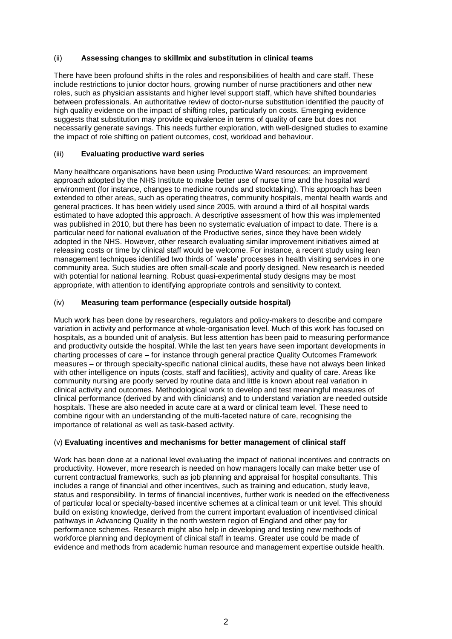# (ii) **Assessing changes to skillmix and substitution in clinical teams**

There have been profound shifts in the roles and responsibilities of health and care staff. These include restrictions to junior doctor hours, growing number of nurse practitioners and other new roles, such as physician assistants and higher level support staff, which have shifted boundaries between professionals. An authoritative review of doctor-nurse substitution identified the paucity of high quality evidence on the impact of shifting roles, particularly on costs. Emerging evidence suggests that substitution may provide equivalence in terms of quality of care but does not necessarily generate savings. This needs further exploration, with well-designed studies to examine the impact of role shifting on patient outcomes, cost, workload and behaviour.

# (iii) **Evaluating productive ward series**

Many healthcare organisations have been using Productive Ward resources; an improvement approach adopted by the NHS Institute to make better use of nurse time and the hospital ward environment (for instance, changes to medicine rounds and stocktaking). This approach has been extended to other areas, such as operating theatres, community hospitals, mental health wards and general practices. It has been widely used since 2005, with around a third of all hospital wards estimated to have adopted this approach. A descriptive assessment of how this was implemented was published in 2010, but there has been no systematic evaluation of impact to date. There is a particular need for national evaluation of the Productive series, since they have been widely adopted in the NHS. However, other research evaluating similar improvement initiatives aimed at releasing costs or time by clinical staff would be welcome. For instance, a recent study using lean management techniques identified two thirds of `waste' processes in health visiting services in one community area. Such studies are often small-scale and poorly designed. New research is needed with potential for national learning. Robust quasi-experimental study designs may be most appropriate, with attention to identifying appropriate controls and sensitivity to context.

# (iv) **Measuring team performance (especially outside hospital)**

Much work has been done by researchers, regulators and policy-makers to describe and compare variation in activity and performance at whole-organisation level. Much of this work has focused on hospitals, as a bounded unit of analysis. But less attention has been paid to measuring performance and productivity outside the hospital. While the last ten years have seen important developments in charting processes of care – for instance through general practice Quality Outcomes Framework measures – or through specialty-specific national clinical audits, these have not always been linked with other intelligence on inputs (costs, staff and facilities), activity and quality of care. Areas like community nursing are poorly served by routine data and little is known about real variation in clinical activity and outcomes. Methodological work to develop and test meaningful measures of clinical performance (derived by and with clinicians) and to understand variation are needed outside hospitals. These are also needed in acute care at a ward or clinical team level. These need to combine rigour with an understanding of the multi-faceted nature of care, recognising the importance of relational as well as task-based activity.

# (v) **Evaluating incentives and mechanisms for better management of clinical staff**

Work has been done at a national level evaluating the impact of national incentives and contracts on productivity. However, more research is needed on how managers locally can make better use of current contractual frameworks, such as job planning and appraisal for hospital consultants. This includes a range of financial and other incentives, such as training and education, study leave, status and responsibility. In terms of financial incentives, further work is needed on the effectiveness of particular local or specialty-based incentive schemes at a clinical team or unit level. This should build on existing knowledge, derived from the current important evaluation of incentivised clinical pathways in Advancing Quality in the north western region of England and other pay for performance schemes. Research might also help in developing and testing new methods of workforce planning and deployment of clinical staff in teams. Greater use could be made of evidence and methods from academic human resource and management expertise outside health.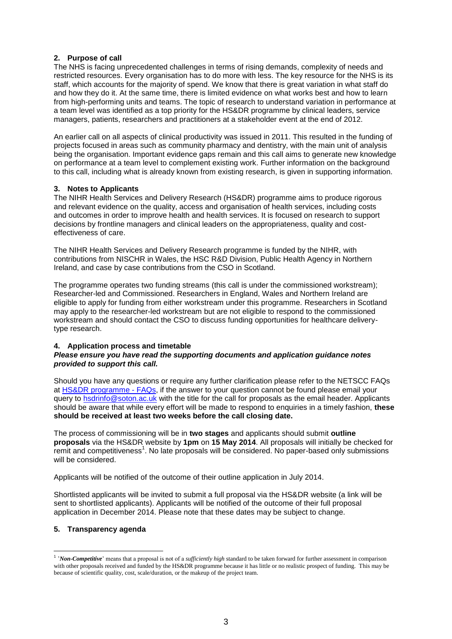# **2. Purpose of call**

The NHS is facing unprecedented challenges in terms of rising demands, complexity of needs and restricted resources. Every organisation has to do more with less. The key resource for the NHS is its staff, which accounts for the majority of spend. We know that there is great variation in what staff do and how they do it. At the same time, there is limited evidence on what works best and how to learn from high-performing units and teams. The topic of research to understand variation in performance at a team level was identified as a top priority for the HS&DR programme by clinical leaders, service managers, patients, researchers and practitioners at a stakeholder event at the end of 2012.

An earlier call on all aspects of clinical productivity was issued in 2011. This resulted in the funding of projects focused in areas such as community pharmacy and dentistry, with the main unit of analysis being the organisation. Important evidence gaps remain and this call aims to generate new knowledge on performance at a team level to complement existing work. Further information on the background to this call, including what is already known from existing research, is given in supporting information.

# **3. Notes to Applicants**

The NIHR Health Services and Delivery Research (HS&DR) programme aims to produce rigorous and relevant evidence on the quality, access and organisation of health services, including costs and outcomes in order to improve health and health services. It is focused on research to support decisions by frontline managers and clinical leaders on the appropriateness, quality and costeffectiveness of care.

The NIHR Health Services and Delivery Research programme is funded by the NIHR, with contributions from NISCHR in Wales, the HSC R&D Division, Public Health Agency in Northern Ireland, and case by case contributions from the CSO in Scotland.

The programme operates two funding streams (this call is under the commissioned workstream); Researcher-led and Commissioned. Researchers in England, Wales and Northern Ireland are eligible to apply for funding from either workstream under this programme. Researchers in Scotland may apply to the researcher-led workstream but are not eligible to respond to the commissioned workstream and should contact the CSO to discuss funding opportunities for healthcare deliverytype research.

# **4. Application process and timetable**

#### *Please ensure you have read the supporting documents and application guidance notes provided to support this call.*

Should you have any questions or require any further clarification please refer to the NETSCC FAQs at [HS&DR programme -](http://www.nets.nihr.ac.uk/faqs) FAQs, if the answer to your question cannot be found please email your query to [hsdrinfo@soton.ac.uk](mailto:hsdrinfo@soton.ac.uk) with the title for the call for proposals as the email header. Applicants should be aware that while every effort will be made to respond to enquiries in a timely fashion, **these should be received at least two weeks before the call closing date.**

The process of commissioning will be in **two stages** and applicants should submit **outline proposals** via the HS&DR website by **1pm** on **15 May 2014**. All proposals will initially be checked for emit and competitiveness<sup>1</sup>. No late proposals will be considered. No paper-based only submissions will be considered.

Applicants will be notified of the outcome of their outline application in July 2014.

Shortlisted applicants will be invited to submit a full proposal via the HS&DR website (a link will be sent to shortlisted applicants). Applicants will be notified of the outcome of their full proposal application in December 2014. Please note that these dates may be subject to change.

# **5. Transparency agenda**

 $\overline{a}$ 

<sup>&</sup>lt;sup>1</sup> '*Non-Competitive*' means that a proposal is not of a *sufficiently high* standard to be taken forward for further assessment in comparison with other proposals received and funded by the HS&DR programme because it has little or no realistic prospect of funding. This may be because of scientific quality, cost, scale/duration, or the makeup of the project team.